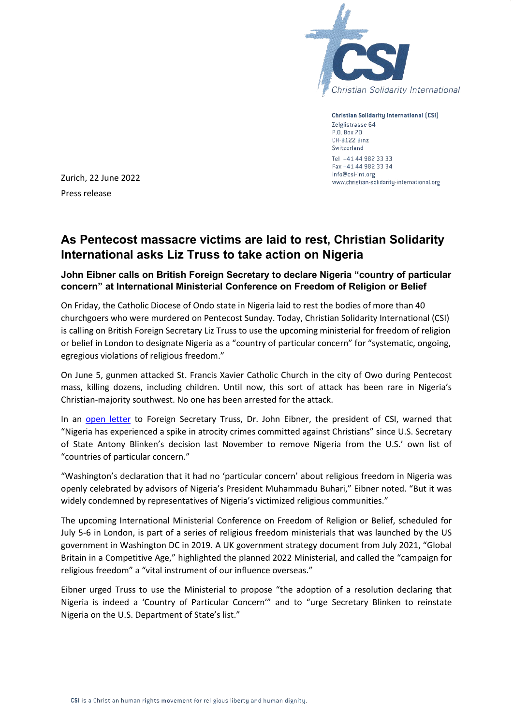

**Christian Solidarity International (CSI)** Zelglistrasse 64 P.O. Box 70 CH-8122 Binz Switzerland Tel +41 44 982 33 33 Fax +41 44 982 33 34 info@csi-int.org www.christian-solidarity-international.org

Zurich, 22 June 2022 Press release

## **As Pentecost massacre victims are laid to rest, Christian Solidarity International asks Liz Truss to take action on Nigeria**

## **John Eibner calls on British Foreign Secretary to declare Nigeria "country of particular concern" at International Ministerial Conference on Freedom of Religion or Belief**

On Friday, the Catholic Diocese of Ondo state in Nigeria laid to rest the bodies of more than 40 churchgoers who were murdered on Pentecost Sunday. Today, Christian Solidarity International (CSI) is calling on British Foreign Secretary Liz Truss to use the upcoming ministerial for freedom of religion or belief in London to designate Nigeria as a "country of particular concern" for "systematic, ongoing, egregious violations of religious freedom."

On June 5, gunmen attacked St. Francis Xavier Catholic Church in the city of Owo during Pentecost mass, killing dozens, including children. Until now, this sort of attack has been rare in Nigeria's Christian-majority southwest. No one has been arrested for the attack.

In an [open letter](https://www.nigeria-report.org/eibner-nigeria-truss/) to Foreign Secretary Truss, Dr. John Eibner, the president of CSI, warned that "Nigeria has experienced a spike in atrocity crimes committed against Christians" since U.S. Secretary of State Antony Blinken's decision last November to remove Nigeria from the U.S.' own list of "countries of particular concern."

"Washington's declaration that it had no 'particular concern' about religious freedom in Nigeria was openly celebrated by advisors of Nigeria's President Muhammadu Buhari," Eibner noted. "But it was widely condemned by representatives of Nigeria's victimized religious communities."

The upcoming International Ministerial Conference on Freedom of Religion or Belief, scheduled for July 5-6 in London, is part of a series of religious freedom ministerials that was launched by the US government in Washington DC in 2019. A UK government strategy document from July 2021, "Global Britain in a Competitive Age," highlighted the planned 2022 Ministerial, and called the "campaign for religious freedom" a "vital instrument of our influence overseas."

Eibner urged Truss to use the Ministerial to propose "the adoption of a resolution declaring that Nigeria is indeed a 'Country of Particular Concern'" and to "urge Secretary Blinken to reinstate Nigeria on the U.S. Department of State's list."